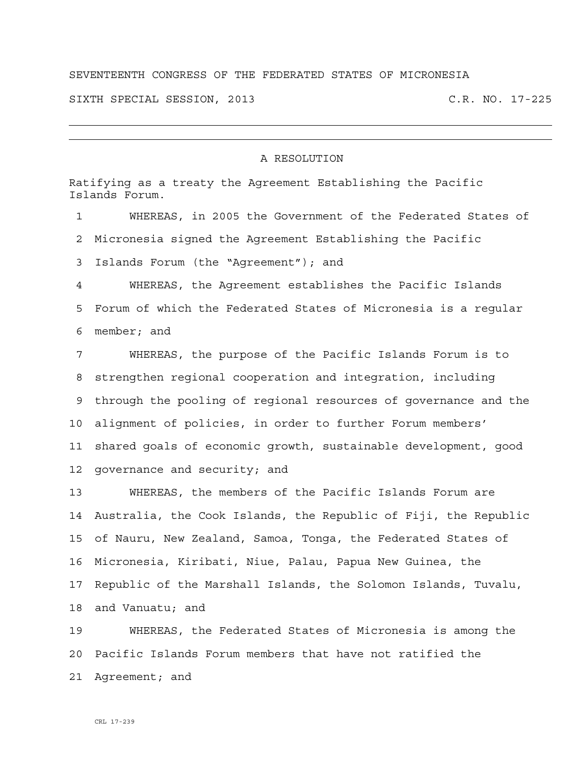## SEVENTEENTH CONGRESS OF THE FEDERATED STATES OF MICRONESIA

SIXTH SPECIAL SESSION, 2013 C.R. NO. 17-225

## A RESOLUTION

Ratifying as a treaty the Agreement Establishing the Pacific Islands Forum. 1 WHEREAS, in 2005 the Government of the Federated States of 2 Micronesia signed the Agreement Establishing the Pacific 3 Islands Forum (the "Agreement"); and 4 WHEREAS, the Agreement establishes the Pacific Islands 5 Forum of which the Federated States of Micronesia is a regular 6 member; and 7 WHEREAS, the purpose of the Pacific Islands Forum is to 8 strengthen regional cooperation and integration, including 9 through the pooling of regional resources of governance and the 10 alignment of policies, in order to further Forum members' 11 shared goals of economic growth, sustainable development, good 12 governance and security; and 13 WHEREAS, the members of the Pacific Islands Forum are 14 Australia, the Cook Islands, the Republic of Fiji, the Republic 15 of Nauru, New Zealand, Samoa, Tonga, the Federated States of 16 Micronesia, Kiribati, Niue, Palau, Papua New Guinea, the 17 Republic of the Marshall Islands, the Solomon Islands, Tuvalu,

19 WHEREAS, the Federated States of Micronesia is among the 20 Pacific Islands Forum members that have not ratified the 21 Agreement; and

18 and Vanuatu; and